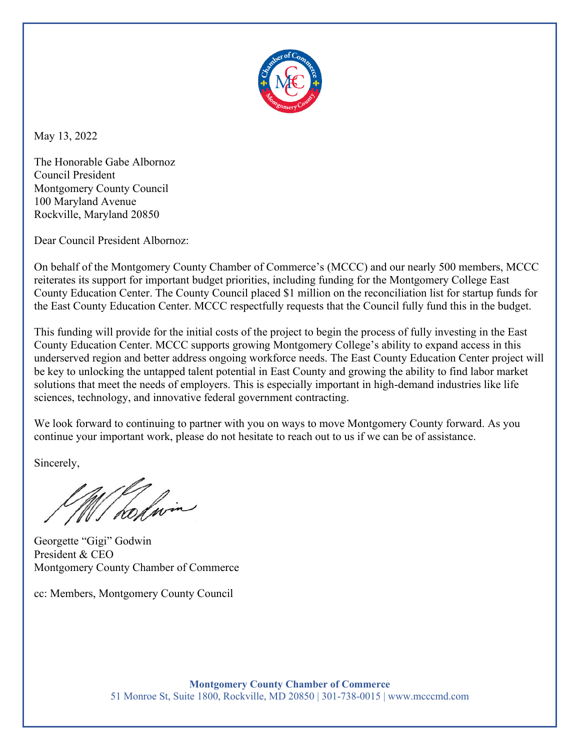

May 13, 2022

The Honorable Gabe Albornoz Council President Montgomery County Council                                              100 Maryland Avenue Rockville, Maryland 20850 

Dear Council President Albornoz:

On behalf of the Montgomery County Chamber of Commerce's (MCCC) and our nearly 500 members, MCCC reiterates its support for important budget priorities, including funding for the Montgomery College East County Education Center. The County Council placed \$1 million on the reconciliation list for startup funds for the East County Education Center. MCCC respectfully requests that the Council fully fund this in the budget.

This funding will provide for the initial costs of the project to begin the process of fully investing in the East County Education Center. MCCC supports growing Montgomery College's ability to expand access in this underserved region and better address ongoing workforce needs. The East County Education Center project will be key to unlocking the untapped talent potential in East County and growing the ability to find labor market solutions that meet the needs of employers. This is especially important in high-demand industries like life sciences, technology, and innovative federal government contracting.

We look forward to continuing to partner with you on ways to move Montgomery County forward. As you continue your important work, please do not hesitate to reach out to us if we can be of assistance.

Sincerely,

W/ holmin

Georgette "Gigi" Godwin President & CEO Montgomery County Chamber of Commerce

cc: Members, Montgomery County Council